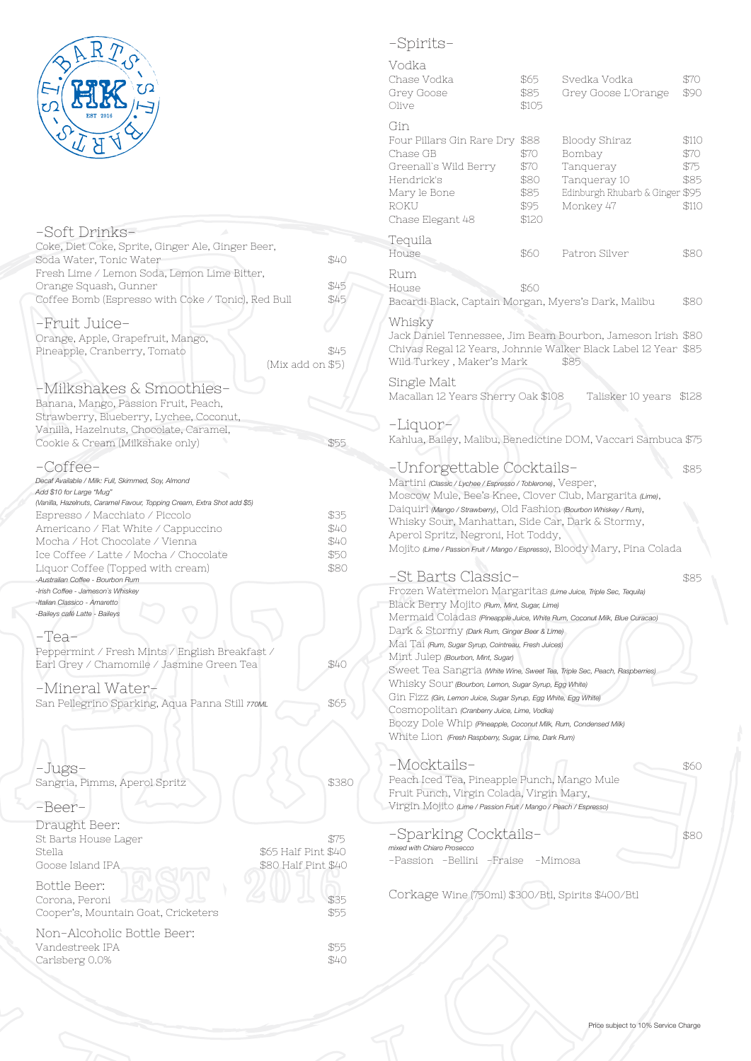

### -Soft Drinks-Coke, Diet Coke, Sprite, Ginger Ale, Ginger Beer, Soda Water, Tonic Water \$40 Fresh Lime / Lemon Soda, Lemon Lime Bitter, Orange Squash, Gunner  $\frac{1}{100}$  \$45 Coffee Bomb (Espresso with Coke / Tonic), Red Bull \$45 -Fruit Juice-Orange, Apple, Grapefruit, Mango, Pineapple, Cranberry, Tomato \$45 (Mix add on \$5) -Milkshakes & Smoothies-Banana, Mango, Passion Fruit, Peach, Strawberry, Blueberry, Lychee, Coconut, Vanilla, Hazelnuts, Chocolate, Caramel, Cookie & Cream (Milkshake only) \$55 -Coffee-*Decaf Available / Milk: Full, Skimmed, Soy, Almond Add \$10 for Large "Mug" (Vanilla, Hazelnuts, Caramel Favour, Topping Cream, Extra Shot add \$5)* Espresso / Macchiato / Piccolo  $$35$ Americano / Flat White / Cappuccino  $$40$ Mocha / Hot Chocolate / Vienna  $$40$ Ice Coffee / Latte / Mocha / Chocolate  $$50$ Liquor Coffee (Topped with cream)  $$80$ *-Australian Coffee - Bourbon Rum -Irish Coffee - Jameson`s Whiskey -Italian Classico - Amaretto -Baileys café Latte - Baileys* -Tea-Peppermint / Fresh Mints / English Breakfast / Earl Grey / Chamomile / Jasmine Green Tea  $$40$ -Mineral Water-San Pellegrino Sparking, Aqua Panna Still 770ML -Jugs-Sangria, Pimms, Aperol Spritz \$380 -Beer-Draught Beer: St Barts House Lager  $$75$ Stella  $$65$  Half Pint \$40 Goose Island IPA  $$80$  Half Pint \$40 Bottle Beer: Corona, Peroni  $1113$ Cooper's, Mountain Goat, Cricketers \$55 Non-Alcoholic Bottle Beer: Vandestreek IPA<br>Carlsberg 0.0% \$40 Carlsberg 0.0%

## -Spirits-

| Vodka<br>Chase Vodka<br>Grey Goose<br>Olive                                                                                                                                                                                                                                                                                                                                                                                 | \$65<br>\$85<br>\$105                                 | Svedka Vodka<br>Grey Goose L'Orange                                                                  | \$70<br>\$90                           |
|-----------------------------------------------------------------------------------------------------------------------------------------------------------------------------------------------------------------------------------------------------------------------------------------------------------------------------------------------------------------------------------------------------------------------------|-------------------------------------------------------|------------------------------------------------------------------------------------------------------|----------------------------------------|
| Gin<br>Four Pillars Gin Rare Dry<br>Chase GB<br>Greenall's Wild Berry<br>Hendrick's<br>Mary le Bone<br>ROKU<br>Chase Elegant 48                                                                                                                                                                                                                                                                                             | \$88<br>\$70<br>\$70<br>\$80<br>\$85<br>\$95<br>\$120 | Bloody Shiraz<br>Bombay<br>Tanqueray<br>Tanqueray 10<br>Edinburgh Rhubarb & Ginger \$95<br>Monkey 47 | \$110<br>\$70<br>\$75<br>\$85<br>\$110 |
| Tequila<br>House                                                                                                                                                                                                                                                                                                                                                                                                            | \$60                                                  | Patron Silver                                                                                        | \$80                                   |
| Rum<br>House<br>Bacardi Black, Captain Morgan, Myers's Dark, Malibu                                                                                                                                                                                                                                                                                                                                                         | \$60                                                  |                                                                                                      | \$80                                   |
| Whisky<br>Jack Daniel Tennessee, Jim Beam Bourbon, Jameson Irish \$80<br>Chivas Regal 12 Years, Johnnie Walker Black Label 12 Year \$85<br>Wild Turkey, Maker's Mark                                                                                                                                                                                                                                                        |                                                       | \$85                                                                                                 |                                        |
| Single Malt<br>Macallan 12 Years Sherry Oak \$108                                                                                                                                                                                                                                                                                                                                                                           |                                                       | Talisker 10 years                                                                                    | \$128                                  |
| -Liquor-<br>Kahlua, Bailey, Malibu, Benedictine DOM, Vaccari Sambuca \$75                                                                                                                                                                                                                                                                                                                                                   |                                                       |                                                                                                      |                                        |
| -Unforgettable Cocktails-<br>Martini (Classic / Lychee / Espresso / Toblerone), Vesper,                                                                                                                                                                                                                                                                                                                                     |                                                       |                                                                                                      | \$85                                   |
| Moscow Mule, Bee's Knee, Clover Club, Margarita (Lime),<br>Daiquiri (Mango / Strawberry), Old Fashion (Bourbon Whiskey / Rum),<br>Whisky Sour, Manhattan, Side Car, Dark & Stormy,<br>Aperol Spritz, Negroni, Hot Toddy,<br>Mojito (Lime / Passion Fruit / Mango / Espresso), Bloody Mary, Pina Colada                                                                                                                      |                                                       |                                                                                                      |                                        |
| -St Barts Classic-                                                                                                                                                                                                                                                                                                                                                                                                          |                                                       |                                                                                                      | \$85                                   |
| Frozen Watermelon Margaritas (Lime Juice, Triple Sec, Tequila)<br>Black Berry Mojito (Rum, Mint, Sugar, Lime)                                                                                                                                                                                                                                                                                                               |                                                       |                                                                                                      |                                        |
| Mermaid Coladas (Pineapple Juice, White Rum, Coconut Milk, Blue Curacao)<br>Dark & Stormy (Dark Rum, Ginger Beer & Lime)<br>Mai Tai (Rum, Sugar Syrup, Cointreau, Fresh Juices)<br>Mint Julep (Bourbon, Mint, Sugar)<br>Sweet Tea Sangria (White Wine, Sweet Tea, Triple Sec, Peach, Raspberries)<br>Whisky Sour (Bourbon, Lemon, Sugar Syrup, Egg White)<br>Gin Fizz (Gin, Lemon Juice, Sugar Syrup, Egg White, Egg White) |                                                       |                                                                                                      |                                        |
| Cosmopolitan (Cranberry Juice, Lime, Vodka)<br>BOOZY Dole Whip (Pineapple, Coconut Milk, Rum, Condensed Milk)<br>White Lion (Fresh Raspberry, Sugar, Lime, Dark Rum)                                                                                                                                                                                                                                                        |                                                       |                                                                                                      |                                        |
| -Mocktails-<br>Peach Iced Tea, Pineapple Punch, Mango Mule<br>Fruit Punch, Virgin Colada, Virgin Mary,<br>Virgin Mojito (Lime / Passion Fruit / Mango / Peach / Espresso)                                                                                                                                                                                                                                                   |                                                       |                                                                                                      | \$60                                   |
| -Sparking Cocktails-<br>mixed with Chiaro Prosecco                                                                                                                                                                                                                                                                                                                                                                          |                                                       |                                                                                                      | \$80                                   |
| -Passion -Bellini -Fraise -Mimosa                                                                                                                                                                                                                                                                                                                                                                                           |                                                       |                                                                                                      |                                        |

Corkage Wine (750ml) \$300/Btl, Spirits \$400/Btl